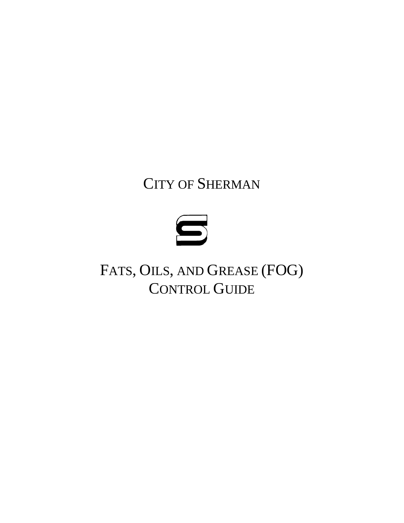# CITY OF SHERMAN



FATS, OILS, AND GREASE (FOG) CONTROL GUIDE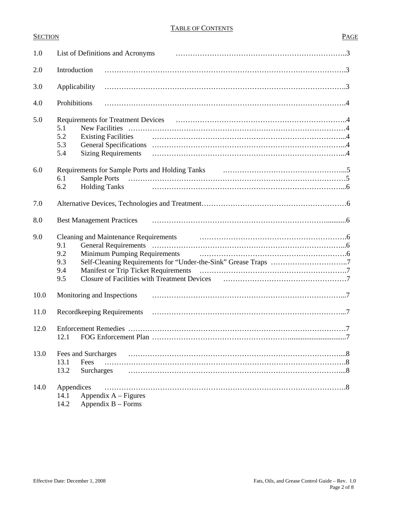#### SECTION PAGE

| 1.0  | List of Definitions and Acronyms                                                                                       |  |  |
|------|------------------------------------------------------------------------------------------------------------------------|--|--|
| 2.0  | Introduction                                                                                                           |  |  |
| 3.0  | Applicability                                                                                                          |  |  |
| 4.0  | Prohibitions                                                                                                           |  |  |
| 5.0  | 5.1<br>5.2<br><b>Existing Facilities</b><br>5.3<br><b>Sizing Requirements</b><br>5.4                                   |  |  |
| 6.0  | 6.1<br>6.2<br><b>Holding Tanks</b>                                                                                     |  |  |
| 7.0  |                                                                                                                        |  |  |
| 8.0  | <b>Best Management Practices</b>                                                                                       |  |  |
| 9.0  | <b>Cleaning and Maintenance Requirements</b><br>9.1<br>9.2<br><b>Minimum Pumping Requirements</b><br>9.3<br>9.4<br>9.5 |  |  |
| 10.0 | Monitoring and Inspections                                                                                             |  |  |
| 11.0 | Recordkeeping Requirements                                                                                             |  |  |
| 12.0 | 12.1                                                                                                                   |  |  |
| 13.0 | Fees and Surcharges<br>Fees<br>13.1<br>13.2<br>Surcharges                                                              |  |  |
| 14.0 | Appendices<br>.8<br>Appendix $A$ – Figures<br>14.1<br>14.2<br>Appendix $B$ – Forms                                     |  |  |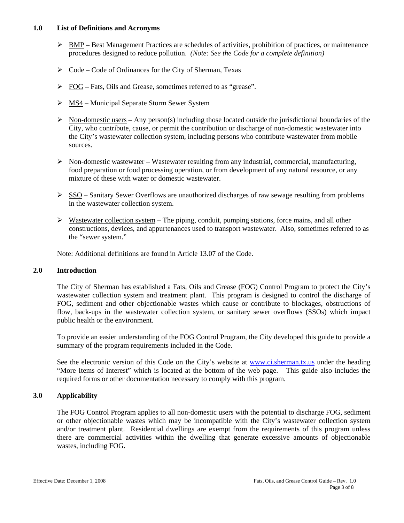#### **1.0 List of Definitions and Acronyms**

- $\triangleright$  BMP Best Management Practices are schedules of activities, prohibition of practices, or maintenance procedures designed to reduce pollution. *(Note: See the Code for a complete definition)*
- $\triangleright$  Code Code of Ordinances for the City of Sherman, Texas
- ¾ FOG Fats, Oils and Grease, sometimes referred to as "grease".
- $>$  MS4 Municipal Separate Storm Sewer System
- $\triangleright$  Non-domestic users Any person(s) including those located outside the jurisdictional boundaries of the City, who contribute, cause, or permit the contribution or discharge of non-domestic wastewater into the City's wastewater collection system, including persons who contribute wastewater from mobile sources.
- $\triangleright$  Non-domestic wastewater Wastewater resulting from any industrial, commercial, manufacturing, food preparation or food processing operation, or from development of any natural resource, or any mixture of these with water or domestic wastewater.
- $\triangleright$  SSO Sanitary Sewer Overflows are unauthorized discharges of raw sewage resulting from problems in the wastewater collection system.
- $\triangleright$  Wastewater collection system The piping, conduit, pumping stations, force mains, and all other constructions, devices, and appurtenances used to transport wastewater. Also, sometimes referred to as the "sewer system."

Note: Additional definitions are found in Article 13.07 of the Code.

#### **2.0 Introduction**

The City of Sherman has established a Fats, Oils and Grease (FOG) Control Program to protect the City's wastewater collection system and treatment plant. This program is designed to control the discharge of FOG, sediment and other objectionable wastes which cause or contribute to blockages, obstructions of flow, back-ups in the wastewater collection system, or sanitary sewer overflows (SSOs) which impact public health or the environment.

To provide an easier understanding of the FOG Control Program, the City developed this guide to provide a summary of the program requirements included in the Code.

See the electronic version of this Code on the City's website at [www.ci.sherman.tx.us](http://www.ci.sherman.tx.us/) under the heading "More Items of Interest" which is located at the bottom of the web page. This guide also includes the required forms or other documentation necessary to comply with this program.

#### **3.0 Applicability**

The FOG Control Program applies to all non-domestic users with the potential to discharge FOG, sediment or other objectionable wastes which may be incompatible with the City's wastewater collection system and/or treatment plant. Residential dwellings are exempt from the requirements of this program unless there are commercial activities within the dwelling that generate excessive amounts of objectionable wastes, including FOG.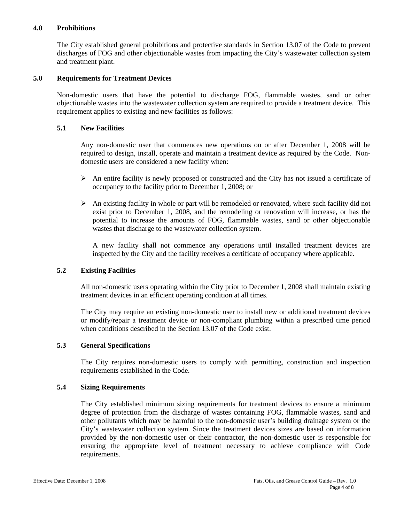#### **4.0 Prohibitions**

The City established general prohibitions and protective standards in Section 13.07 of the Code to prevent discharges of FOG and other objectionable wastes from impacting the City's wastewater collection system and treatment plant.

#### **5.0 Requirements for Treatment Devices**

Non-domestic users that have the potential to discharge FOG, flammable wastes, sand or other objectionable wastes into the wastewater collection system are required to provide a treatment device. This requirement applies to existing and new facilities as follows:

#### **5.1 New Facilities**

Any non-domestic user that commences new operations on or after December 1, 2008 will be required to design, install, operate and maintain a treatment device as required by the Code. Nondomestic users are considered a new facility when:

- $\triangleright$  An entire facility is newly proposed or constructed and the City has not issued a certificate of occupancy to the facility prior to December 1, 2008; or
- $\triangleright$  An existing facility in whole or part will be remodeled or renovated, where such facility did not exist prior to December 1, 2008, and the remodeling or renovation will increase, or has the potential to increase the amounts of FOG, flammable wastes, sand or other objectionable wastes that discharge to the wastewater collection system.

A new facility shall not commence any operations until installed treatment devices are inspected by the City and the facility receives a certificate of occupancy where applicable.

#### **5.2 Existing Facilities**

All non-domestic users operating within the City prior to December 1, 2008 shall maintain existing treatment devices in an efficient operating condition at all times.

The City may require an existing non-domestic user to install new or additional treatment devices or modify/repair a treatment device or non-compliant plumbing within a prescribed time period when conditions described in the Section 13.07 of the Code exist.

#### **5.3 General Specifications**

The City requires non-domestic users to comply with permitting, construction and inspection requirements established in the Code.

#### **5.4 Sizing Requirements**

The City established minimum sizing requirements for treatment devices to ensure a minimum degree of protection from the discharge of wastes containing FOG, flammable wastes, sand and other pollutants which may be harmful to the non-domestic user's building drainage system or the City's wastewater collection system. Since the treatment devices sizes are based on information provided by the non-domestic user or their contractor, the non-domestic user is responsible for ensuring the appropriate level of treatment necessary to achieve compliance with Code requirements.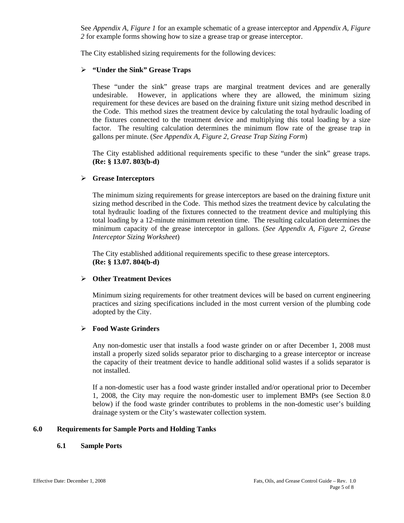See *Appendix A, Figure 1* for an example schematic of a grease interceptor and *Appendix A, Figure 2* for example forms showing how to size a grease trap or grease interceptor.

The City established sizing requirements for the following devices:

#### ¾ **"Under the Sink" Grease Traps**

These "under the sink" grease traps are marginal treatment devices and are generally undesirable. However, in applications where they are allowed, the minimum sizing requirement for these devices are based on the draining fixture unit sizing method described in the Code. This method sizes the treatment device by calculating the total hydraulic loading of the fixtures connected to the treatment device and multiplying this total loading by a size factor. The resulting calculation determines the minimum flow rate of the grease trap in gallons per minute. (*See Appendix A, Figure 2, Grease Trap Sizing Form*)

The City established additional requirements specific to these "under the sink" grease traps. **(Re: § 13.07. 803(b-d)**

#### ¾ **Grease Interceptors**

The minimum sizing requirements for grease interceptors are based on the draining fixture unit sizing method described in the Code. This method sizes the treatment device by calculating the total hydraulic loading of the fixtures connected to the treatment device and multiplying this total loading by a 12-minute minimum retention time. The resulting calculation determines the minimum capacity of the grease interceptor in gallons. (*See Appendix A, Figure 2, Grease Interceptor Sizing Worksheet*)

The City established additional requirements specific to these grease interceptors. **(Re: § 13.07. 804(b-d)**

#### ¾ **Other Treatment Devices**

Minimum sizing requirements for other treatment devices will be based on current engineering practices and sizing specifications included in the most current version of the plumbing code adopted by the City.

#### ¾ **Food Waste Grinders**

Any non-domestic user that installs a food waste grinder on or after December 1, 2008 must install a properly sized solids separator prior to discharging to a grease interceptor or increase the capacity of their treatment device to handle additional solid wastes if a solids separator is not installed.

If a non-domestic user has a food waste grinder installed and/or operational prior to December 1, 2008, the City may require the non-domestic user to implement BMPs (see Section 8.0 below) if the food waste grinder contributes to problems in the non-domestic user's building drainage system or the City's wastewater collection system.

#### **6.0 Requirements for Sample Ports and Holding Tanks**

#### **6.1 Sample Ports**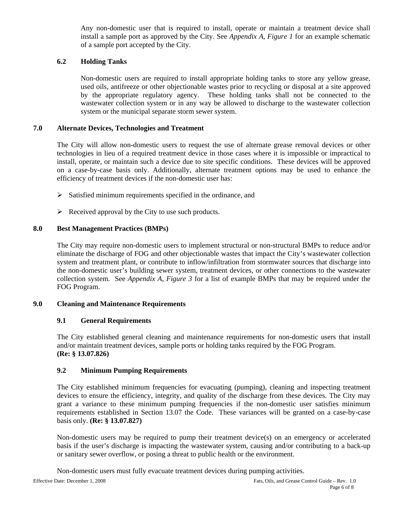Any non-domestic user that is required to install, operate or maintain a treatment device shall install a sample port as approved by the City. See *Appendix A, Figure 1* for an example schematic of a sample port accepted by the City.

#### **6.2 Holding Tanks**

Non-domestic users are required to install appropriate holding tanks to store any yellow grease, used oils, antifreeze or other objectionable wastes prior to recycling or disposal at a site approved by the appropriate regulatory agency. These holding tanks shall not be connected to the wastewater collection system or in any way be allowed to discharge to the wastewater collection system or the municipal separate storm sewer system.

#### **7.0 Alternate Devices, Technologies and Treatment**

The City will allow non-domestic users to request the use of alternate grease removal devices or other technologies in lieu of a required treatment device in those cases where it is impossible or impractical to install, operate, or maintain such a device due to site specific conditions. These devices will be approved on a case-by-case basis only. Additionally, alternate treatment options may be used to enhance the efficiency of treatment devices if the non-domestic user has:

- $\triangleright$  Satisfied minimum requirements specified in the ordinance, and
- $\triangleright$  Received approval by the City to use such products.

#### **8.0 Best Management Practices (BMPs)**

The City may require non-domestic users to implement structural or non-structural BMPs to reduce and/or eliminate the discharge of FOG and other objectionable wastes that impact the City's wastewater collection system and treatment plant, or contribute to inflow/infiltration from stormwater sources that discharge into the non-domestic user's building sewer system, treatment devices, or other connections to the wastewater collection system. See *Appendix A, Figure 3* for a list of example BMPs that may be required under the FOG Program.

#### **9.0 Cleaning and Maintenance Requirements**

#### **9.1 General Requirements**

The City established general cleaning and maintenance requirements for non-domestic users that install and/or maintain treatment devices, sample ports or holding tanks required by the FOG Program. **(Re: § 13.07.826)**

#### **9.2 Minimum Pumping Requirements**

The City established minimum frequencies for evacuating (pumping), cleaning and inspecting treatment devices to ensure the efficiency, integrity, and quality of the discharge from these devices. The City may grant a variance to these minimum pumping frequencies if the non-domestic user satisfies minimum requirements established in Section 13.07 the Code. These variances will be granted on a case-by-case basis only. **(Re: § 13.07.827)** 

Non-domestic users may be required to pump their treatment device(s) on an emergency or accelerated basis if the user's discharge is impacting the wastewater system, causing and/or contributing to a back-up or sanitary sewer overflow, or posing a threat to public health or the environment.

Non-domestic users must fully evacuate treatment devices during pumping activities.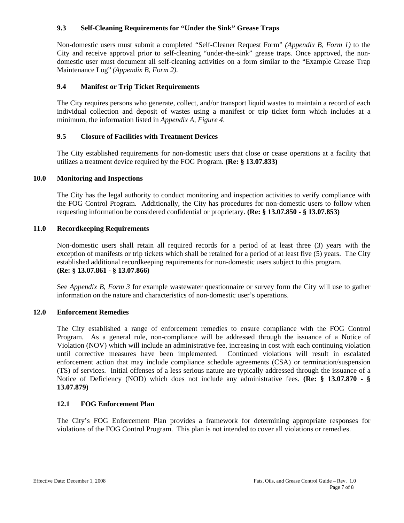#### **9.3 Self-Cleaning Requirements for "Under the Sink" Grease Traps**

Non-domestic users must submit a completed "Self-Cleaner Request Form" *(Appendix B, Form 1)* to the City and receive approval prior to self-cleaning "under-the-sink" grease traps. Once approved, the nondomestic user must document all self-cleaning activities on a form similar to the "Example Grease Trap Maintenance Log" *(Appendix B, Form 2).*

#### **9.4 Manifest or Trip Ticket Requirements**

The City requires persons who generate, collect, and/or transport liquid wastes to maintain a record of each individual collection and deposit of wastes using a manifest or trip ticket form which includes at a minimum, the information listed in *Appendix A, Figure 4*.

#### **9.5 Closure of Facilities with Treatment Devices**

The City established requirements for non-domestic users that close or cease operations at a facility that utilizes a treatment device required by the FOG Program. **(Re: § 13.07.833)** 

#### **10.0 Monitoring and Inspections**

The City has the legal authority to conduct monitoring and inspection activities to verify compliance with the FOG Control Program. Additionally, the City has procedures for non-domestic users to follow when requesting information be considered confidential or proprietary. **(Re: § 13.07.850 - § 13.07.853)**

#### **11.0 Recordkeeping Requirements**

Non-domestic users shall retain all required records for a period of at least three (3) years with the exception of manifests or trip tickets which shall be retained for a period of at least five (5) years. The City established additional recordkeeping requirements for non-domestic users subject to this program. **(Re: § 13.07.861 - § 13.07.866)** 

See *Appendix B, Form 3* for example wastewater questionnaire or survey form the City will use to gather information on the nature and characteristics of non-domestic user's operations.

#### **12.0 Enforcement Remedies**

The City established a range of enforcement remedies to ensure compliance with the FOG Control Program.As a general rule, non-compliance will be addressed through the issuance of a Notice of Violation (NOV) which will include an administrative fee, increasing in cost with each continuing violation until corrective measures have been implemented. Continued violations will result in escalated enforcement action that may include compliance schedule agreements (CSA) or termination/suspension (TS) of services. Initial offenses of a less serious nature are typically addressed through the issuance of a Notice of Deficiency (NOD) which does not include any administrative fees. **(Re: § 13.07.870 - § 13.07.879)**

#### **12.1 FOG Enforcement Plan**

The City's FOG Enforcement Plan provides a framework for determining appropriate responses for violations of the FOG Control Program. This plan is not intended to cover all violations or remedies.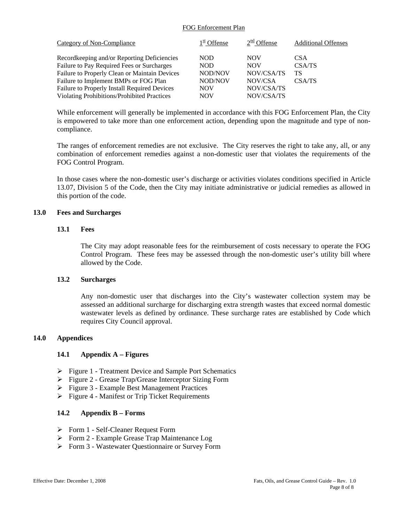#### FOG Enforcement Plan

| Category of Non-Compliance                    | $1st$ Offense | $2nd$ Offense | <b>Additional Offenses</b> |
|-----------------------------------------------|---------------|---------------|----------------------------|
| Record keeping and/or Reporting Deficiencies  | NOD.          | <b>NOV</b>    | <b>CSA</b>                 |
| Failure to Pay Required Fees or Surcharges    | NOD.          | <b>NOV</b>    | CSA/TS                     |
| Failure to Properly Clean or Maintain Devices | NOD/NOV       | NOV/CSA/TS    | TS                         |
| Failure to Implement BMPs or FOG Plan         | NOD/NOV       | NOV/CSA       | CSA/TS                     |
| Failure to Properly Install Required Devices  | <b>NOV</b>    | NOV/CSA/TS    |                            |
| Violating Prohibitions/Prohibited Practices   | NOV           | NOV/CSA/TS    |                            |

While enforcement will generally be implemented in accordance with this FOG Enforcement Plan, the City is empowered to take more than one enforcement action, depending upon the magnitude and type of noncompliance.

The ranges of enforcement remedies are not exclusive. The City reserves the right to take any, all, or any combination of enforcement remedies against a non-domestic user that violates the requirements of the FOG Control Program.

In those cases where the non-domestic user's discharge or activities violates conditions specified in Article 13.07, Division 5 of the Code, then the City may initiate administrative or judicial remedies as allowed in this portion of the code.

#### **13.0 Fees and Surcharges**

#### **13.1 Fees**

The City may adopt reasonable fees for the reimbursement of costs necessary to operate the FOG Control Program. These fees may be assessed through the non-domestic user's utility bill where allowed by the Code.

#### **13.2 Surcharges**

Any non-domestic user that discharges into the City's wastewater collection system may be assessed an additional surcharge for discharging extra strength wastes that exceed normal domestic wastewater levels as defined by ordinance. These surcharge rates are established by Code which requires City Council approval.

#### **14.0 Appendices**

#### **14.1 Appendix A – Figures**

- ¾ Figure 1 Treatment Device and Sample Port Schematics
- ¾ Figure 2 Grease Trap/Grease Interceptor Sizing Form
- ¾ Figure 3 Example Best Management Practices
- $\triangleright$  Figure 4 Manifest or Trip Ticket Requirements

#### **14.2 Appendix B – Forms**

- ¾ Form 1 Self-Cleaner Request Form
- ¾ Form 2 Example Grease Trap Maintenance Log
- ¾ Form 3 Wastewater Questionnaire or Survey Form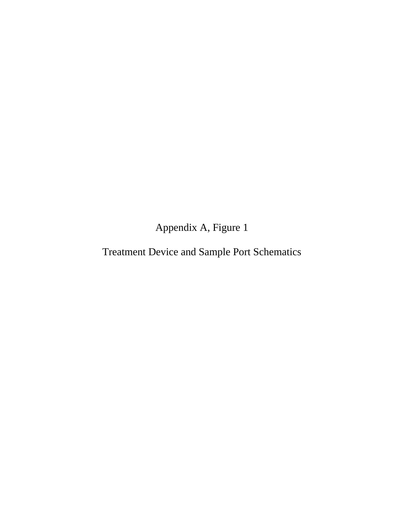Appendix A, Figure 1

Treatment Device and Sample Port Schematics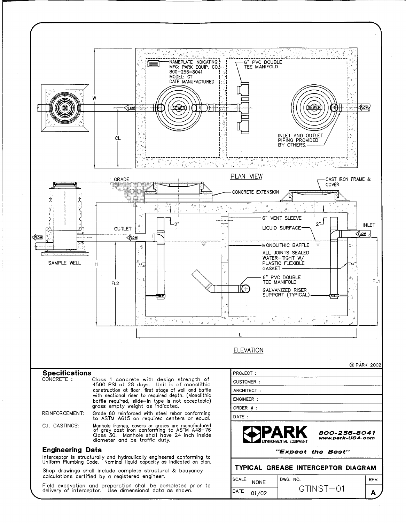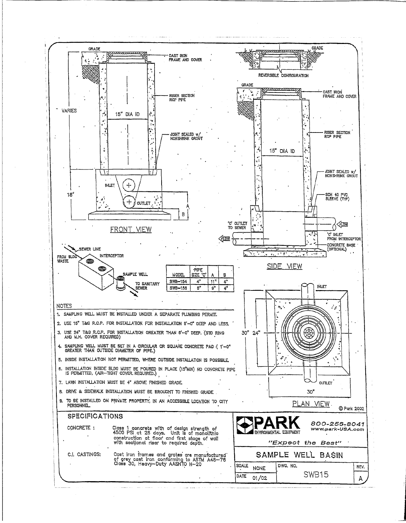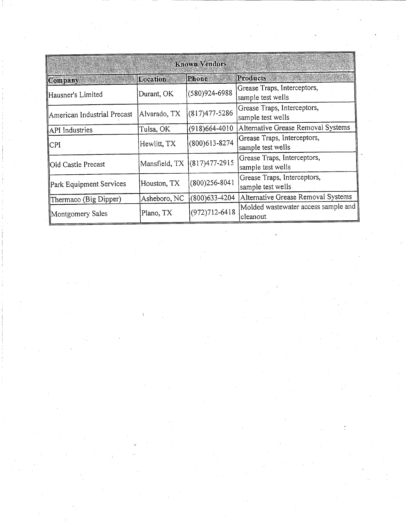| Known Vendors               |              |                             |                                                  |
|-----------------------------|--------------|-----------------------------|--------------------------------------------------|
| Company                     | Location     | Phone                       | Products                                         |
| Hausner's Limited           | Durant, OK   | $(580)924 - 6988$           | Grease Traps, Interceptors,<br>sample test wells |
| American Industrial Precast | Alvarado, TX | $(817)477 - 5286$           | Grease Traps, Interceptors,<br>sample test wells |
| API Industries              | Tulsa, OK    | $(918)664-4010$             | Alternative Grease Removal Systems               |
| CPI                         | Hewlitt, TX  | $(800)613 - 8274$           | Grease Traps, Interceptors,<br>sample test wells |
| Old Castle Precast          |              | Mansfield, TX (817)477-2915 | Grease Traps, Interceptors,<br>sample test wells |
| Park Equipment Services     | Houston, TX  | $(800)256 - 8041$           | Grease Traps, Interceptors,<br>sample test wells |
| Thermaco (Big Dipper)       | Asheboro, NC | $(800)$ 633-4204            | Alternative Grease Removal Systems               |
| Montgomery Sales            | Plano, TX    | $(972)712 - 6418$           | Molded wastewater access sample and<br>cleanout  |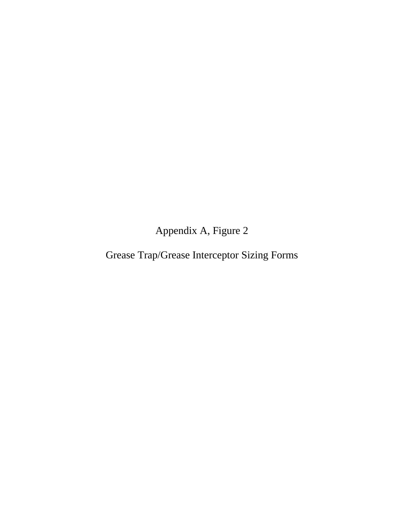Appendix A, Figure 2

Grease Trap/Grease Interceptor Sizing Forms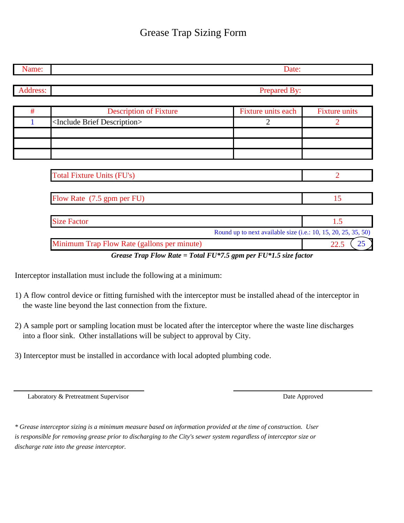## Grease Trap Sizing Form

| Prepared By:                                                    |                      |  |  |  |
|-----------------------------------------------------------------|----------------------|--|--|--|
|                                                                 |                      |  |  |  |
| Fixture units each                                              | <b>Fixture units</b> |  |  |  |
| $\overline{2}$                                                  | 2                    |  |  |  |
|                                                                 |                      |  |  |  |
|                                                                 |                      |  |  |  |
|                                                                 | $\overline{2}$       |  |  |  |
|                                                                 | 15                   |  |  |  |
|                                                                 | 1.5                  |  |  |  |
| Round up to next available size (i.e.: 10, 15, 20, 25, 35, 50)  |                      |  |  |  |
|                                                                 | 25<br>22.5           |  |  |  |
| Grease Trap Flow Rate = Total FU*7.5 gpm per FU*1.5 size factor |                      |  |  |  |

Interceptor installation must include the following at a minimum:

- 1) A flow control device or fitting furnished with the interceptor must be installed ahead of the interceptor in the waste line beyond the last connection from the fixture.
- 2) A sample port or sampling location must be located after the interceptor where the waste line discharges into a floor sink. Other installations will be subject to approval by City.
- 3) Interceptor must be installed in accordance with local adopted plumbing code.

Laboratory & Pretreatment Supervisor Date Approved

*\* Grease interceptor sizing is a minimum measure based on information provided at the time of construction. User is responsible for removing grease prior to discharging to the City's sewer system regardless of interceptor size or discharge rate into the grease interceptor.*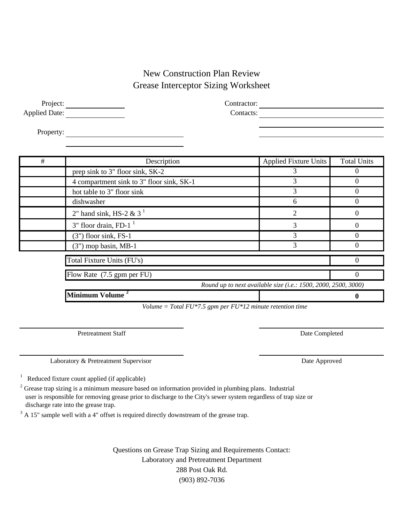### New Construction Plan Review Grease Interceptor Sizing Worksheet

Project: Contractor: Contractor: Applied Date: Contacts: Contacts:

Property:

| # | Description                               | <b>Applied Fixture Units</b>                                   | <b>Total Units</b> |
|---|-------------------------------------------|----------------------------------------------------------------|--------------------|
|   | prep sink to 3" floor sink, SK-2          | 3                                                              |                    |
|   | 4 compartment sink to 3" floor sink, SK-1 | 3                                                              |                    |
|   | hot table to 3" floor sink                | 3                                                              |                    |
|   | dishwasher                                | 6                                                              |                    |
|   | 2" hand sink, HS-2 & $31$                 | $\overline{2}$                                                 |                    |
|   | $3"$ floor drain, FD-1 $^1$               | 3                                                              |                    |
|   | $(3")$ floor sink, FS-1                   | 3                                                              |                    |
|   | $(3")$ mop basin, MB-1                    | 3                                                              |                    |
|   | Total Fixture Units (FU's)                |                                                                |                    |
|   | Flow Rate (7.5 gpm per FU)                |                                                                | 0                  |
|   |                                           | Round up to next available size (i.e.: 1500, 2000, 2500, 3000) |                    |
|   | Minimum Volume <sup>2</sup>               |                                                                | O                  |

 *Volume = Total FU\*7.5 gpm per FU\*12 minute retention time*

Pretreatment Staff Date Completed Date Completed

Laboratory & Pretreatment Supervisor Date Approved

1 Reduced fixture count applied (if applicable)

 $2^2$  Grease trap sizing is a minimum measure based on information provided in plumbing plans. Industrial user is responsible for removing grease prior to discharge to the City's sewer system regardless of trap size or discharge rate into the grease trap.

 $3$  A 15" sample well with a 4" offset is required directly downstream of the grease trap.

Laboratory and Pretreatment Department 288 Post Oak Rd. (903) 892-7036 Questions on Grease Trap Sizing and Requirements Contact: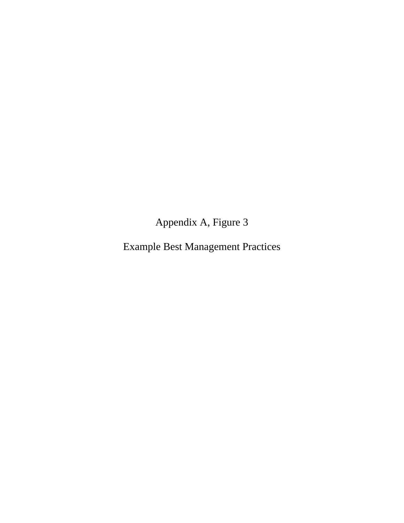Appendix A, Figure 3

Example Best Management Practices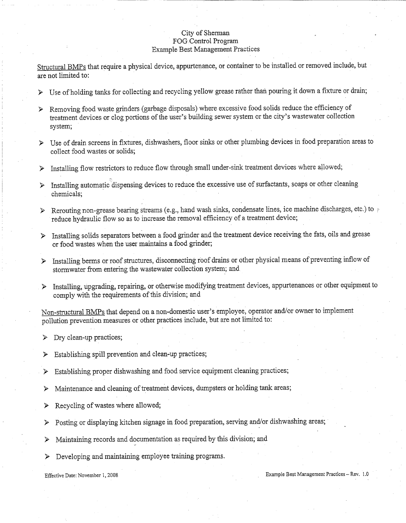#### City of Sherman FOG Control Program **Example Best Management Practices**

Structural BMPs that require a physical device, appurtenance, or container to be installed or removed include, but are not limited to:

- > Use of holding tanks for collecting and recycling yellow grease rather than pouring it down a fixture or drain;
- > Removing food waste grinders (garbage disposals) where excessive food solids reduce the efficiency of treatment devices or clog portions of the user's building sewer system or the city's wastewater collection system;
- > Use of drain screens in fixtures, dishwashers, floor sinks or other plumbing devices in food preparation areas to collect food wastes or solids;
- $\triangleright$  Installing flow restrictors to reduce flow through small under-sink treatment devices where allowed;
- > Installing automatic dispensing devices to reduce the excessive use of surfactants, soaps or other cleaning chemicals;
- > Rerouting non-grease bearing streams (e.g., hand wash sinks, condensate lines, ice machine discharges, etc.) to reduce hydraulic flow so as to increase the removal efficiency of a treatment device;
- > Installing solids separators between a food grinder and the treatment device receiving the fats, oils and grease or food wastes when the user maintains a food grinder;
- > Installing berms or roof structures, disconnecting roof drains or other physical means of preventing inflow of stormwater from entering the wastewater collection system; and
- > Installing, upgrading, repairing, or otherwise modifying treatment devices, appurtenances or other equipment to comply with the requirements of this division; and

Non-structural BMPs that depend on a non-domestic user's employee, operator and/or owner to implement pollution prevention measures or other practices include, but are not limited to:

- $\triangleright$  Dry clean-up practices;
- $\triangleright$  Establishing spill prevention and clean-up practices;
- Establishing proper dishwashing and food service equipment cleaning practices; ≻
- Maintenance and cleaning of treatment devices, dumpsters or holding tank areas; ≻
- Recycling of wastes where allowed;  $\blacktriangleright$
- > Posting or displaying kitchen signage in food preparation, serving and/or dishwashing areas;
- Maintaining records and documentation as required by this division; and ➤
- Developing and maintaining employee training programs. ⋗

#### Effective Date: November 1, 2008

#### Example Best Management Practices - Rev. 1.0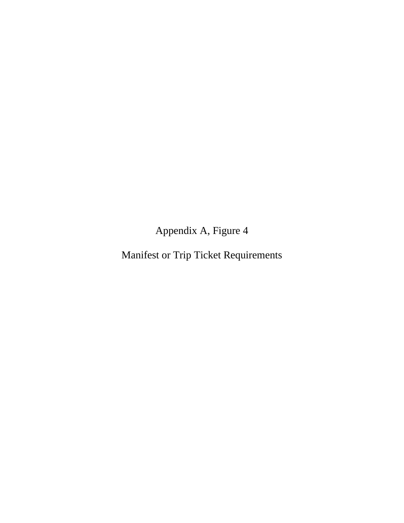Appendix A, Figure 4

Manifest or Trip Ticket Requirements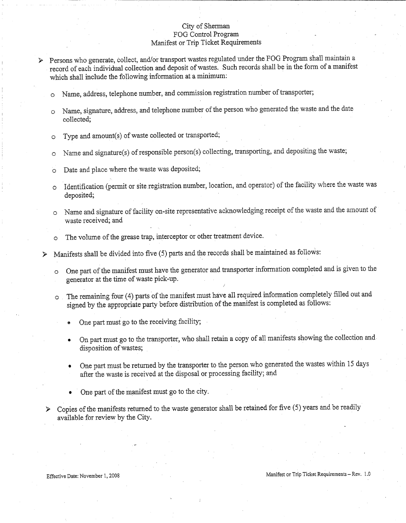#### City of Sherman FOG Control Program Manifest or Trip Ticket Requirements

> Persons who generate, collect, and/or transport wastes regulated under the FOG Program shall maintain a record of each individual collection and deposit of wastes. Such records shall be in the form of a manifest which shall include the following information at a minimum:

- Name, address, telephone number, and commission registration number of transporter;  $\circ$
- Name, signature, address, and telephone number of the person who generated the waste and the date  $\Omega$ collected:
- Type and amount(s) of waste collected or transported;  $\circ$
- Name and signature(s) of responsible person(s) collecting, transporting, and depositing the waste;  $\circ$
- Date and place where the waste was deposited;  $\Omega$
- Identification (permit or site registration number, location, and operator) of the facility where the waste was  $\Omega$ deposited;
- Name and signature of facility on-site representative acknowledging receipt of the waste and the amount of  $\circ$ waste received; and
- The volume of the grease trap, interceptor or other treatment device.  $\circ$

 $\triangleright$  Manifests shall be divided into five (5) parts and the records shall be maintained as follows:

- One part of the manifest must have the generator and transporter information completed and is given to the  $\circ$ generator at the time of waste pick-up.
- o The remaining four (4) parts of the manifest must have all required information completely filled out and signed by the appropriate party before distribution of the manifest is completed as follows:
	- One part must go to the receiving facility;
	- On part must go to the transporter, who shall retain a copy of all manifests showing the collection and disposition of wastes;
	- One part must be returned by the transporter to the person who generated the wastes within 15 days after the waste is received at the disposal or processing facility; and
	- One part of the manifest must go to the city.
- Copies of the manifests returned to the waste generator shall be retained for five (5) years and be readily available for review by the City.

Effective Date: November 1, 2008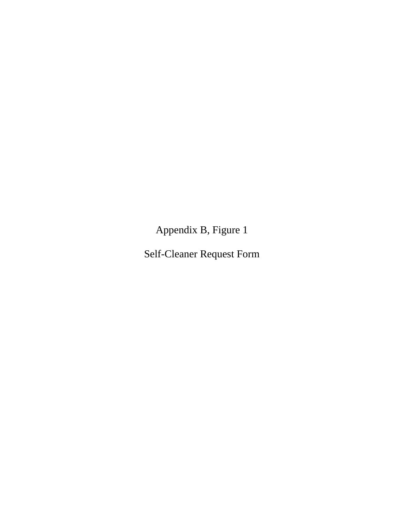Appendix B, Figure 1

Self-Cleaner Request Form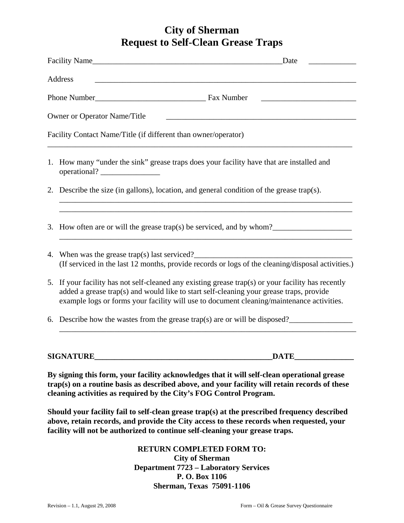### **City of Sherman Request to Self-Clean Grease Traps**

| Facility Name<br>Date                                                                                                                                                                                                                                                                      |  |  |  |
|--------------------------------------------------------------------------------------------------------------------------------------------------------------------------------------------------------------------------------------------------------------------------------------------|--|--|--|
| Address                                                                                                                                                                                                                                                                                    |  |  |  |
|                                                                                                                                                                                                                                                                                            |  |  |  |
| <b>Owner or Operator Name/Title</b><br><u> 1989 - Johann Barbara, martxa alemaniar argumento este alemaniar alemaniar alemaniar alemaniar alemaniar al</u>                                                                                                                                 |  |  |  |
| Facility Contact Name/Title (if different than owner/operator)                                                                                                                                                                                                                             |  |  |  |
| 1. How many "under the sink" grease traps does your facility have that are installed and<br>operational?                                                                                                                                                                                   |  |  |  |
| 2. Describe the size (in gallons), location, and general condition of the grease trap(s).                                                                                                                                                                                                  |  |  |  |
| 3. How often are or will the grease trap(s) be serviced, and by whom?<br>$\frac{1}{\sqrt{2}}$                                                                                                                                                                                              |  |  |  |
| 4. When was the grease trap(s) last serviced?<br>(If serviced in the last 12 months, provide records or logs of the cleaning/disposal activities.)                                                                                                                                         |  |  |  |
| 5. If your facility has not self-cleaned any existing grease trap(s) or your facility has recently<br>added a grease trap(s) and would like to start self-cleaning your grease traps, provide<br>example logs or forms your facility will use to document cleaning/maintenance activities. |  |  |  |
| 6. Describe how the wastes from the grease trap(s) are or will be disposed?                                                                                                                                                                                                                |  |  |  |
| <b>SIGNATURE</b><br><b>DATE</b>                                                                                                                                                                                                                                                            |  |  |  |
| By signing this form, your facility acknowledges that it will self-clean operational grease<br>trap(s) on a routine basis as described above, and your facility will retain records of these<br>cleaning activities as required by the City's FOG Control Program.                         |  |  |  |

**Should your facility fail to self-clean grease trap(s) at the prescribed frequency described above, retain records, and provide the City access to these records when requested, your facility will not be authorized to continue self-cleaning your grease traps.** 

> **RETURN COMPLETED FORM TO: City of Sherman Department 7723 – Laboratory Services P. O. Box 1106 Sherman, Texas 75091-1106**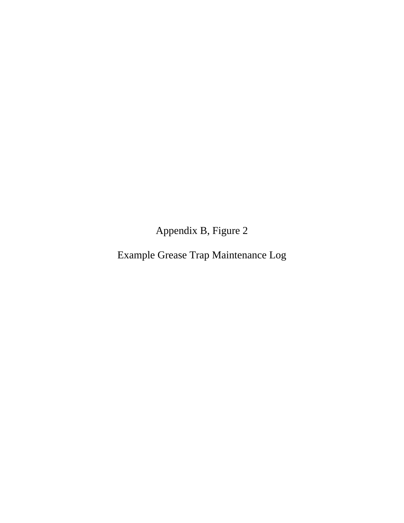Appendix B, Figure 2

Example Grease Trap Maintenance Log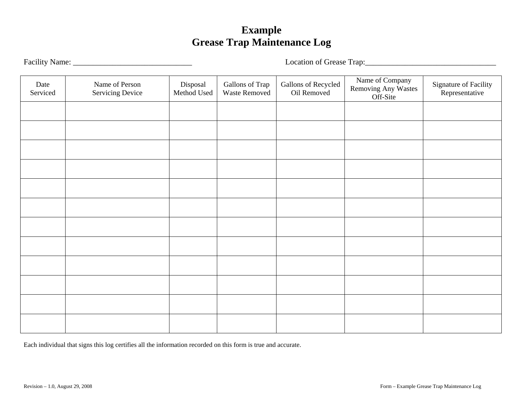# **Example Grease Trap Maintenance Log**

Facility Name: \_\_\_\_\_\_\_\_\_\_\_\_\_\_\_\_\_\_\_\_\_\_\_\_\_\_\_\_\_\_ Location of Grease Trap:\_\_\_\_\_\_\_\_\_\_\_\_\_\_\_\_\_\_\_\_\_\_\_\_\_\_\_\_\_\_\_\_\_

| Date<br>Serviced | Name of Person<br>Servicing Device | Disposal<br>Method Used | Gallons of Trap<br>Waste Removed | Gallons of Recycled<br>Oil Removed | Name of Company<br>Removing Any Wastes<br>Off-Site | Signature of Facility<br>Representative |
|------------------|------------------------------------|-------------------------|----------------------------------|------------------------------------|----------------------------------------------------|-----------------------------------------|
|                  |                                    |                         |                                  |                                    |                                                    |                                         |
|                  |                                    |                         |                                  |                                    |                                                    |                                         |
|                  |                                    |                         |                                  |                                    |                                                    |                                         |
|                  |                                    |                         |                                  |                                    |                                                    |                                         |
|                  |                                    |                         |                                  |                                    |                                                    |                                         |
|                  |                                    |                         |                                  |                                    |                                                    |                                         |
|                  |                                    |                         |                                  |                                    |                                                    |                                         |
|                  |                                    |                         |                                  |                                    |                                                    |                                         |
|                  |                                    |                         |                                  |                                    |                                                    |                                         |
|                  |                                    |                         |                                  |                                    |                                                    |                                         |
|                  |                                    |                         |                                  |                                    |                                                    |                                         |
|                  |                                    |                         |                                  |                                    |                                                    |                                         |

Each individual that signs this log certifies all the information recorded on this form is true and accurate.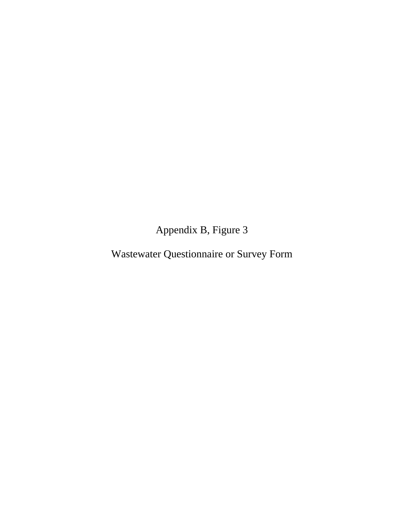Appendix B, Figure 3

Wastewater Questionnaire or Survey Form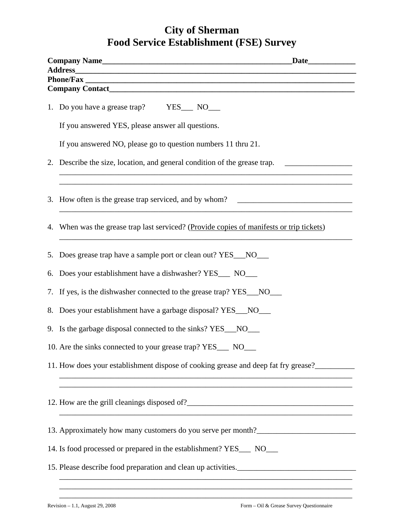### **City of Sherman Food Service Establishment (FSE) Survey**

| Company Name <u> Lette and the set of the set of the set of the set of the set of the set of the set of the set of the set of the set of the set of the set of the set of the set of the set of the set of the set of the set of</u> |  |  |  |  |
|--------------------------------------------------------------------------------------------------------------------------------------------------------------------------------------------------------------------------------------|--|--|--|--|
|                                                                                                                                                                                                                                      |  |  |  |  |
|                                                                                                                                                                                                                                      |  |  |  |  |
| 1. Do you have a grease trap? YES____ NO____                                                                                                                                                                                         |  |  |  |  |
| If you answered YES, please answer all questions.                                                                                                                                                                                    |  |  |  |  |
| If you answered NO, please go to question numbers 11 thru 21.                                                                                                                                                                        |  |  |  |  |
| 2. Describe the size, location, and general condition of the grease trap. __________________________                                                                                                                                 |  |  |  |  |
| ,我们也不会有什么。""我们的人,我们也不会有什么?""我们的人,我们也不会有什么?""我们的人,我们的人,我们的人,我们的人,我们的人,我们的人,我们的人,我们<br>3. How often is the grease trap serviced, and by whom?                                                                                          |  |  |  |  |
| 4. When was the grease trap last serviced? (Provide copies of manifests or trip tickets)<br><u> 1989 - Johann Stein, marwolaethau a bhann an t-Amhair ann an t-Amhair an t-Amhair an t-Amhair an t-Amhair an</u>                     |  |  |  |  |
| 5. Does grease trap have a sample port or clean out? YES_NO___                                                                                                                                                                       |  |  |  |  |
| 6. Does your establishment have a dishwasher? YES___ NO___                                                                                                                                                                           |  |  |  |  |
| 7. If yes, is the dishwasher connected to the grease trap? YES_NO__                                                                                                                                                                  |  |  |  |  |
| 8. Does your establishment have a garbage disposal? YES__NO___                                                                                                                                                                       |  |  |  |  |
| 9. Is the garbage disposal connected to the sinks? YES_NO__                                                                                                                                                                          |  |  |  |  |
| 10. Are the sinks connected to your grease trap? YES<br>NO                                                                                                                                                                           |  |  |  |  |
| 11. How does your establishment dispose of cooking grease and deep fat fry grease?                                                                                                                                                   |  |  |  |  |
|                                                                                                                                                                                                                                      |  |  |  |  |
| 13. Approximately how many customers do you serve per month?____________________                                                                                                                                                     |  |  |  |  |
| 14. Is food processed or prepared in the establishment? YES___ NO___                                                                                                                                                                 |  |  |  |  |
| 15. Please describe food preparation and clean up activities.                                                                                                                                                                        |  |  |  |  |
|                                                                                                                                                                                                                                      |  |  |  |  |